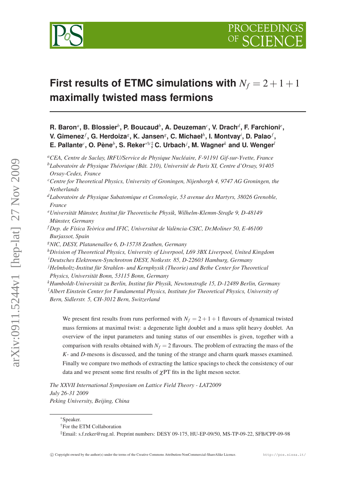

# **First results of ETMC simulations with**  $N_f = 2 + 1 + 1$ **maximally twisted mass fermions**

**R. Baron***<sup>a</sup>* **, B. Blossier***<sup>b</sup>* **, P. Boucaud***<sup>b</sup>* **, A. Deuzeman***<sup>c</sup>* **, V. Drach***<sup>d</sup>* **, F. Farchioni***<sup>e</sup>* **, V. Gimenez***<sup>f</sup>* **, G. Herdoiza***<sup>g</sup>* **, K. Jansen***<sup>g</sup>* **, C. Michael***<sup>h</sup>* **, I. Montvay***<sup>i</sup>* **, D. Palao***<sup>f</sup>* **, E. Pallante***<sup>c</sup>* **, O. Pène***<sup>b</sup>* **, S. Reker**∗†*c*‡ **, C. Urbach***<sup>j</sup>* **, M. Wagner***<sup>k</sup>* **and U. Wenger***<sup>l</sup>*

*<sup>c</sup>Centre for Theoretical Physics, University of Groningen, Nijenborgh 4, 9747 AG Groningen, the Netherlands*

*<sup>e</sup>Universität Münster, Institut für Theoretische Physik, Wilhelm-Klemm-Straße 9, D-48149 Münster, Germany*

*<sup>f</sup> Dep. de Física Teòrica and IFIC, Universitat de València-CSIC, Dr.Moliner 50, E-46100 Burjassot, Spain*

*<sup>g</sup>NIC, DESY, Platanenallee 6, D-15738 Zeuthen, Germany*

*<sup>h</sup>Division of Theoretical Physics, University of Liverpool, L69 3BX Liverpool, United Kingdom*

*<sup>i</sup>Deutsches Elektronen-Synchrotron DESY, Notkestr. 85, D-22603 Hamburg, Germany*

*<sup>j</sup>Helmholtz-Institut für Strahlen- und Kernphysik (Theorie) and Bethe Center for Theoretical*

*Physics, Universität Bonn, 53115 Bonn, Germany*

*<sup>k</sup>Humboldt-Universität zu Berlin, Institut für Physik, Newtonstraße 15, D-12489 Berlin, Germany <sup>l</sup>Albert Einstein Center for Fundamental Physics, Institute for Theoretical Physics, University of Bern, Sidlerstr. 5, CH-3012 Bern, Switzerland*

We present first results from runs performed with  $N_f = 2 + 1 + 1$  flavours of dynamical twisted mass fermions at maximal twist: a degenerate light doublet and a mass split heavy doublet. An overview of the input parameters and tuning status of our ensembles is given, together with a comparison with results obtained with  $N_f = 2$  flavours. The problem of extracting the mass of the *K*- and *D*-mesons is discussed, and the tuning of the strange and charm quark masses examined. Finally we compare two methods of extracting the lattice spacings to check the consistency of our data and we present some first results of  $\chi$ PT fits in the light meson sector.

*The XXVII International Symposium on Lattice Field Theory - LAT2009 July 26-31 2009 Peking University, Beijing, China*

<sup>∗</sup>Speaker.

*<sup>a</sup>CEA, Centre de Saclay, IRFU/Service de Physique Nucléaire, F-91191 Gif-sur-Yvette, France <sup>b</sup>Laboratoire de Physique Théorique (Bât. 210), Université de Paris XI, Centre d'Orsay, 91405 Orsay-Cedex, France*

*<sup>d</sup>Laboratoire de Physique Subatomique et Cosmologie, 53 avenue des Martyrs, 38026 Grenoble, France*

<sup>†</sup>For the ETM Collaboration

<sup>‡</sup>Email: s.f.reker@rug.nl. Preprint numbers: DESY 09-175, HU-EP-09/50, MS-TP-09-22, SFB/CPP-09-98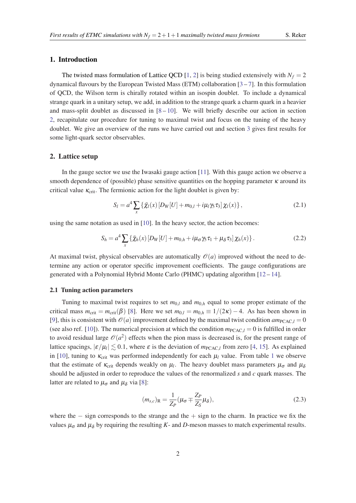## <span id="page-1-0"></span>1. Introduction

The twisted mass formulation of Lattice QCD [[1](#page-6-0), [2](#page-6-0)] is being studied extensively with  $N_f = 2$ dynamical flavours by the European Twisted Mass (ETM) collaboration  $[3-7]$  $[3-7]$  $[3-7]$  $[3-7]$ . In this formulation of QCD, the Wilson term is chirally rotated within an isospin doublet. To include a dynamical strange quark in a unitary setup, we add, in addition to the strange quark a charm quark in a heavier and mass-split doublet as discussed in  $[8 - 10]$  $[8 - 10]$  $[8 - 10]$  $[8 - 10]$ . We will briefly describe our action in section 2, recapitulate our procedure for tuning to maximal twist and focus on the tuning of the heavy doublet. We give an overview of the runs we have carried out and section [3](#page-3-0) gives first results for some light-quark sector observables.

#### 2. Lattice setup

In the gauge sector we use the Iwasaki gauge action [[11\]](#page-6-0). With this gauge action we observe a smooth dependence of (possible) phase sensitive quantities on the hopping parameter  $\kappa$  around its critical value  $\kappa_{\rm crit}$ . The fermionic action for the light doublet is given by:

$$
S_l = a^4 \sum_x \left\{ \bar{\chi}_l(x) \left[ D_W[U] + m_{0,l} + i\mu_l \gamma_5 \tau_3 \right] \chi_l(x) \right\},\tag{2.1}
$$

using the same notation as used in [[10\]](#page-6-0). In the heavy sector, the action becomes:

$$
S_h = a^4 \sum_x \left\{ \bar{\chi}_h(x) \left[ D_W[U] + m_{0,h} + i \mu_\sigma \gamma_5 \tau_1 + \mu_\delta \tau_3 \right] \chi_h(x) \right\}.
$$
 (2.2)

At maximal twist, physical observables are automatically  $\mathcal{O}(a)$  improved without the need to determine any action or operator specific improvement coefficients. The gauge configurations are generated with a Polynomial Hybrid Monte Carlo (PHMC) updating algorithm [[12](#page-6-0) – [14\]](#page-6-0).

## 2.1 Tuning action parameters

Tuning to maximal twist requires to set  $m_{0,l}$  and  $m_{0,h}$  equal to some proper estimate of the critical mass  $m_{\text{crit}} = m_{\text{crit}}(\beta)$  [[8](#page-6-0)]. Here we set  $m_{0,l} = m_{0,h} \equiv 1/(2\kappa) - 4$ . As has been shown in [[9](#page-6-0)], this is consistent with  $\mathcal{O}(a)$  improvement defined by the maximal twist condition  $am_{\text{PCAC},l} = 0$ (see also ref. [\[10](#page-6-0)]). The numerical precision at which the condition  $m_{\text{PCAC},l} = 0$  is fulfilled in order to avoid residual large  $\mathcal{O}(a^2)$  effects when the pion mass is decreased is, for the present range of lattice spacings,  $|\varepsilon/\mu_l| \lesssim 0.1$ , where  $\varepsilon$  is the deviation of  $m_{\text{PCAC},l}$  from zero [\[4,](#page-6-0) [15](#page-6-0)]. As explained in [[10\]](#page-6-0), tuning to  $\kappa_{\text{crit}}$  was performed independently for each  $\mu_l$  value. From table [1](#page-2-0) we observe that the estimate of  $\kappa_{crit}$  depends weakly on  $\mu_l$ . The heavy doublet mass parameters  $\mu_{\sigma}$  and  $\mu_{\delta}$ should be adjusted in order to reproduce the values of the renormalized *s* and *c* quark masses. The latter are related to  $\mu_{\sigma}$  and  $\mu_{\delta}$  via [\[8\]](#page-6-0):

$$
(m_{s,c})_{\mathcal{R}} = \frac{1}{Z_P} (\mu_{\sigma} \mp \frac{Z_P}{Z_S} \mu_{\delta}),
$$
\n(2.3)

where the  $-$  sign corresponds to the strange and the  $+$  sign to the charm. In practice we fix the values  $\mu_{\sigma}$  and  $\mu_{\delta}$  by requiring the resulting *K*- and *D*-meson masses to match experimental results.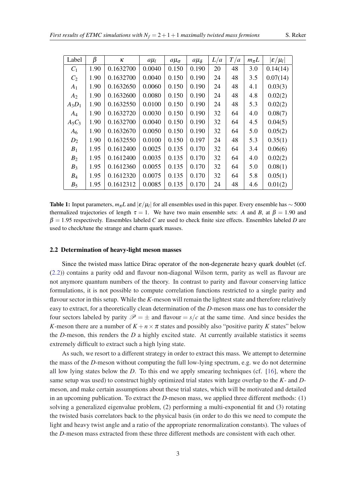<span id="page-2-0"></span>

| Label          | $\beta$ | ĸ         | $a\mu_l$ | $a\mu_{\sigma}$ | $a\mu_{\delta}$ | L/a | T/a | $m_{\pi}L$ | $ \varepsilon/\mu_l $ |
|----------------|---------|-----------|----------|-----------------|-----------------|-----|-----|------------|-----------------------|
| $C_1$          | 1.90    | 0.1632700 | 0.0040   | 0.150           | 0.190           | 20  | 48  | 3.0        | 0.14(14)              |
| $C_2$          | 1.90    | 0.1632700 | 0.0040   | 0.150           | 0.190           | 24  | 48  | 3.5        | 0.07(14)              |
| A <sub>1</sub> | 1.90    | 0.1632650 | 0.0060   | 0.150           | 0.190           | 24  | 48  | 4.1        | 0.03(3)               |
| A <sub>2</sub> | 1.90    | 0.1632600 | 0.0080   | 0.150           | 0.190           | 24  | 48  | 4.8        | 0.02(2)               |
| $A_3D_1$       | 1.90    | 0.1632550 | 0.0100   | 0.150           | 0.190           | 24  | 48  | 5.3        | 0.02(2)               |
| $A_4$          | 1.90    | 0.1632720 | 0.0030   | 0.150           | 0.190           | 32  | 64  | 4.0        | 0.08(7)               |
| $A_5C_3$       | 1.90    | 0.1632700 | 0.0040   | 0.150           | 0.190           | 32  | 64  | 4.5        | 0.04(5)               |
| A <sub>6</sub> | 1.90    | 0.1632670 | 0.0050   | 0.150           | 0.190           | 32  | 64  | 5.0        | 0.05(2)               |
| $D_2$          | 1.90    | 0.1632550 | 0.0100   | 0.150           | 0.197           | 24  | 48  | 5.3        | 0.35(1)               |
| $B_1$          | 1.95    | 0.1612400 | 0.0025   | 0.135           | 0.170           | 32  | 64  | 3.4        | 0.06(6)               |
| B <sub>2</sub> | 1.95    | 0.1612400 | 0.0035   | 0.135           | 0.170           | 32  | 64  | 4.0        | 0.02(2)               |
| $B_3$          | 1.95    | 0.1612360 | 0.0055   | 0.135           | 0.170           | 32  | 64  | 5.0        | 0.08(1)               |
| $B_4$          | 1.95    | 0.1612320 | 0.0075   | 0.135           | 0.170           | 32  | 64  | 5.8        | 0.05(1)               |
| $B_5$          | 1.95    | 0.1612312 | 0.0085   | 0.135           | 0.170           | 24  | 48  | 4.6        | 0.01(2)               |

**Table 1:** Input parameters,  $m_\pi L$  and  $|\varepsilon/\mu_l|$  for all ensembles used in this paper. Every ensemble has  $\sim$  5000 thermalized trajectories of length  $\tau = 1$ . We have two main ensemble sets: *A* and *B*, at  $\beta = 1.90$  and  $\beta = 1.95$  respectively. Ensembles labeled *C* are used to check finite size effects. Ensembles labeled *D* are used to check/tune the strange and charm quark masses.

#### 2.2 Determination of heavy-light meson masses

Since the twisted mass lattice Dirac operator of the non-degenerate heavy quark doublet (cf. ([2.2\)](#page-1-0)) contains a parity odd and flavour non-diagonal Wilson term, parity as well as flavour are not anymore quantum numbers of the theory. In contrast to parity and flavour conserving lattice formulations, it is not possible to compute correlation functions restricted to a single parity and flavour sector in this setup. While the *K*-meson will remain the lightest state and therefore relatively easy to extract, for a theoretically clean determination of the *D*-meson mass one has to consider the four sectors labeled by parity  $\mathcal{P} = \pm$  and flavour =  $s/c$  at the same time. And since besides the *K*-meson there are a number of  $K + n \times \pi$  states and possibly also "positive parity *K* states" below the *D*-meson, this renders the *D* a highly excited state. At currently available statistics it seems extremely difficult to extract such a high lying state.

As such, we resort to a different strategy in order to extract this mass. We attempt to determine the mass of the *D*-meson without computing the full low-lying spectrum, e.g. we do not determine all low lying states below the *D*. To this end we apply smearing techniques (cf. [[16\]](#page-7-0), where the same setup was used) to construct highly optimized trial states with large overlap to the *K*- and *D*meson, and make certain assumptions about these trial states, which will be motivated and detailed in an upcoming publication. To extract the *D*-meson mass, we applied three different methods: (1) solving a generalized eigenvalue problem, (2) performing a multi-exponential fit and (3) rotating the twisted basis correlators back to the physical basis (in order to do this we need to compute the light and heavy twist angle and a ratio of the appropriate renormalization constants). The values of the *D*-meson mass extracted from these three different methods are consistent with each other.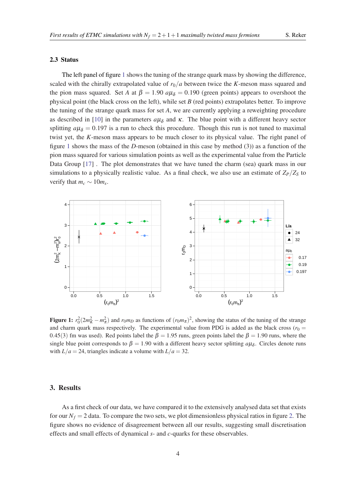#### <span id="page-3-0"></span>2.3 Status

The left panel of figure 1 shows the tuning of the strange quark mass by showing the difference, scaled with the chirally extrapolated value of  $r_0/a$  between twice the *K*-meson mass squared and the pion mass squared. Set *A* at  $\beta = 1.90 \ a\mu_{\delta} = 0.190$  (green points) appears to overshoot the physical point (the black cross on the left), while set *B* (red points) extrapolates better. To improve the tuning of the strange quark mass for set *A*, we are currently applying a reweighting procedure as described in [[10\]](#page-6-0) in the parameters  $a\mu_{\delta}$  and  $\kappa$ . The blue point with a different heavy sector splitting  $a\mu_{\delta} = 0.197$  is a run to check this procedure. Though this run is not tuned to maximal twist yet, the *K*-meson mass appears to be much closer to its physical value. The right panel of figure 1 shows the mass of the *D*-meson (obtained in this case by method (3)) as a function of the pion mass squared for various simulation points as well as the experimental value from the Particle Data Group [[17](#page-7-0)]. The plot demonstrates that we have tuned the charm (sea) quark mass in our simulations to a physically realistic value. As a final check, we also use an estimate of  $Z_P/Z_S$  to verify that  $m_c \sim 10 m_s$ .



Figure 1:  $r_0^2(2m_K^2 - m_\pi^2)$  and  $r_0m_D$  as functions of  $(r_0m_\pi)^2$ , showing the status of the tuning of the strange and charm quark mass respectively. The experimental value from PDG is added as the black cross ( $r_0 =$ 0.45(3) fm was used). Red points label the  $\beta = 1.95$  runs, green points label the  $\beta = 1.90$  runs, where the single blue point corresponds to  $\beta = 1.90$  with a different heavy sector splitting  $a\mu_{\delta}$ . Circles denote runs with  $L/a = 24$ , triangles indicate a volume with  $L/a = 32$ .

#### 3. Results

As a first check of our data, we have compared it to the extensively analysed data set that exists for our  $N_f = 2$  data. To compare the two sets, we plot dimensionless physical ratios in figure [2.](#page-4-0) The figure shows no evidence of disagreement between all our results, suggesting small discretisation effects and small effects of dynamical *s*- and *c*-quarks for these observables.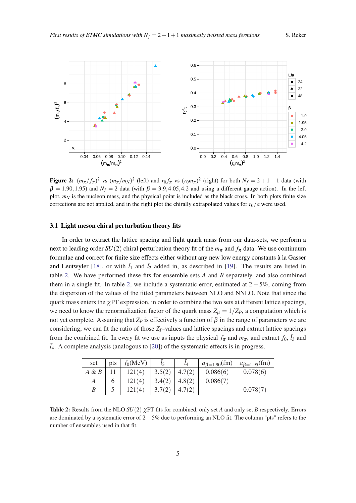<span id="page-4-0"></span>

Figure 2:  $(m_\pi/f_\pi)^2$  vs  $(m_\pi/m_N)^2$  (left) and  $r_0f_\pi$  vs  $(r_0m_\pi)^2$  (right) for both  $N_f = 2 + 1 + 1$  data (with  $\beta = 1.90, 1.95$  and  $N_f = 2$  data (with  $\beta = 3.9, 4.05, 4.2$  and using a different gauge action). In the left plot,  $m_N$  is the nucleon mass, and the physical point is included as the black cross. In both plots finite size corrections are not applied, and in the right plot the chirally extrapolated values for  $r_0/a$  were used.

### 3.1 Light meson chiral perturbation theory fits

In order to extract the lattice spacing and light quark mass from our data-sets, we perform a next to leading order  $SU(2)$  chiral perturbation theory fit of the  $m<sub>\pi</sub>$  and  $f<sub>\pi</sub>$  data. We use continuum formulae and correct for finite size effects either without any new low energy constants à la Gasser and Leutwyler [[18\]](#page-7-0), or with  $\bar{l}_1$  and  $\bar{l}_2$  added in, as described in [\[19](#page-7-0)]. The results are listed in table 2. We have performed these fits for ensemble sets *A* and *B* separately, and also combined them in a single fit. In table 2, we include a systematic error, estimated at  $2 - 5\%$ , coming from the dispersion of the values of the fitted parameters between NLO and NNLO. Note that since the quark mass enters the  $\chi$ PT expression, in order to combine the two sets at different lattice spacings, we need to know the renormalization factor of the quark mass  $Z_{\mu} = 1/Z_{P}$ , a computation which is not yet complete. Assuming that  $Z<sub>P</sub>$  is effectively a function of  $β$  in the range of parameters we are considering, we can fit the ratio of those *ZP*-values and lattice spacings and extract lattice spacings from the combined fit. In every fit we use as inputs the physical  $f_{\pi}$  and  $m_{\pi}$ , and extract  $f_0$ ,  $\bar{l}_3$  and  $l_4$ . A complete analysis (analogous to [[20\]](#page-7-0)) of the systematic effects is in progress.

| set      | pts | $f_0$ (MeV) | $l_3$  | $\iota_4$ | $a_{\beta=1.90}$ (fm) | $a_{\beta=1.95}$ (fm) |
|----------|-----|-------------|--------|-----------|-----------------------|-----------------------|
| $A \& B$ |     | 121(4)      | 3.5(2) | 4.7(2)    | 0.086(6)              | 0.078(6)              |
| А        |     | 121(4)      | 3.4(2) | 4.8(2)    | 0.086(7)              |                       |
| B        |     | 121(4)      | 3.7(2) |           |                       | 0.078(7)              |

**Table 2:** Results from the NLO  $SU(2)$   $\chi$ PT fits for combined, only set *A* and only set *B* respectively. Errors are dominated by a systematic error of 2−5% due to performing an NLO fit. The column "pts" refers to the number of ensembles used in that fit.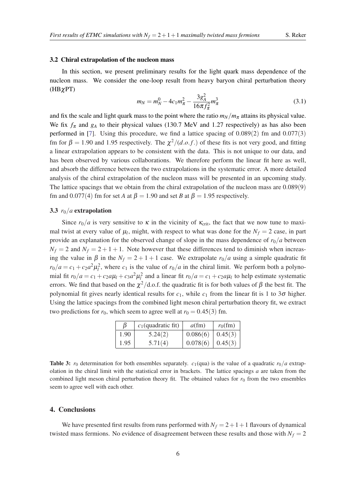#### 3.2 Chiral extrapolation of the nucleon mass

In this section, we present preliminary results for the light quark mass dependence of the nucleon mass. We consider the one-loop result from heavy baryon chiral perturbation theory (HBχPT)

$$
m_N = m_N^0 - 4c_1m_\pi^2 - \frac{3g_A^2}{16\pi f_\pi^2}m_\pi^3
$$
\n(3.1)

and fix the scale and light quark mass to the point where the ratio  $m_N/m_\pi$  attains its physical value. We fix  $f_{\pi}$  and  $g_A$  to their physical values (130.7 MeV and 1.27 respectively) as has also been performed in [[7](#page-6-0)]. Using this procedure, we find a lattice spacing of 0.089(2) fm and 0.077(3) fm for  $\beta = 1.90$  and 1.95 respectively. The  $\chi^2/(d.o.f.)$  of these fits is not very good, and fitting a linear extrapolation appears to be consistent with the data. This is not unique to our data, and has been observed by various collaborations. We therefore perform the linear fit here as well, and absorb the difference between the two extrapolations in the systematic error. A more detailed analysis of the chiral extrapolation of the nucleon mass will be presented in an upcoming study. The lattice spacings that we obtain from the chiral extrapolation of the nucleon mass are 0.089(9) fm and 0.077(4) fm for set *A* at  $\beta = 1.90$  and set *B* at  $\beta = 1.95$  respectively.

#### 3.3  $r_0/a$  extrapolation

Since  $r_0/a$  is very sensitive to  $\kappa$  in the vicinity of  $\kappa_{\rm crit}$ , the fact that we now tune to maximal twist at every value of  $\mu_l$ , might, with respect to what was done for the  $N_f = 2$  case, in part provide an explanation for the observed change of slope in the mass dependence of  $r_0/a$  between  $N_f = 2$  and  $N_f = 2 + 1 + 1$ . Note however that these differences tend to diminish when increasing the value in  $\beta$  in the  $N_f = 2 + 1 + 1$  case. We extrapolate  $r_0/a$  using a simple quadratic fit  $r_0/a = c_1 + c_2 a^2 \mu_l^2$ , where  $c_1$  is the value of  $r_0/a$  in the chiral limit. We perform both a polynomial fit  $r_0/a = c_1 + c_2a\mu_l + c_3a^2\mu_l^2$  and a linear fit  $r_0/a = c_1 + c_2a\mu_l$  to help estimate systematic errors. We find that based on the  $\chi^2$ /d.o.f. the quadratic fit is for both values of  $\beta$  the best fit. The polynomial fit gives nearly identical results for  $c_1$ , while  $c_1$  from the linear fit is 1 to 3 $\sigma$  higher. Using the lattice spacings from the combined light meson chiral perturbation theory fit, we extract two predictions for  $r_0$ , which seem to agree well at  $r_0 = 0.45(3)$  fm.

| β    | $c_1$ (quadratic fit) | $a$ (fm) | $r_0$ (fm) |
|------|-----------------------|----------|------------|
| 1.90 | 5.24(2)               | 0.086(6) | 0.45(3)    |
| 1.95 | 5.71(4)               | 0.078(6) | 0.45(3)    |

**Table 3:**  $r_0$  determination for both ensembles separately.  $c_1$ (qua) is the value of a quadratic  $r_0/a$  extrapolation in the chiral limit with the statistical error in brackets. The lattice spacings *a* are taken from the combined light meson chiral perturbation theory fit. The obtained values for  $r<sub>0</sub>$  from the two ensembles seem to agree well with each other.

## 4. Conclusions

We have presented first results from runs performed with  $N_f = 2 + 1 + 1$  flavours of dynamical twisted mass fermions. No evidence of disagreement between these results and those with  $N_f = 2$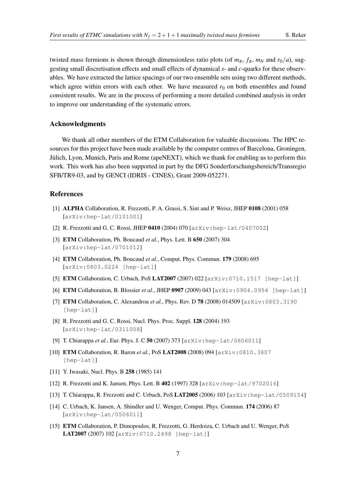<span id="page-6-0"></span>twisted mass fermions is shown through dimensionless ratio plots (of  $m_{\pi}$ ,  $f_{\pi}$ ,  $m_N$  and  $r_0/a$ ), suggesting small discretisation effects and small effects of dynamical *s*- and *c*-quarks for these observables. We have extracted the lattice spacings of our two ensemble sets using two different methods, which agree within errors with each other. We have measured  $r<sub>0</sub>$  on both ensembles and found consistent results. We are in the process of performing a more detailed combined analysis in order to improve our understanding of the systematic errors.

### Acknowledgments

We thank all other members of the ETM Collaboration for valuable discussions. The HPC resources for this project have been made available by the computer centres of Barcelona, Groningen, Jülich, Lyon, Munich, Paris and Rome (apeNEXT), which we thank for enabling us to perform this work. This work has also been supported in part by the DFG Sonderforschungsbereich/Transregio SFB/TR9-03, and by GENCI (IDRIS - CINES), Grant 2009-052271.

# References

- [1] ALPHA Collaboration, R. Frezzotti, P. A. Grassi, S. Sint and P. Weisz, JHEP 0108 (2001) 058 [arXiv:hep-lat/0101001]
- [2] R. Frezzotti and G. C. Rossi, JHEP 0410 (2004) 070 [arXiv: hep-lat/0407002]
- [3] ETM Collaboration, Ph. Boucaud *et al.*, Phys. Lett. B 650 (2007) 304 [arXiv:hep-lat/0701012]
- [4] ETM Collaboration, Ph. Boucaud *et al.*, Comput. Phys. Commun. 179 (2008) 695 [arXiv:0803.0224 [hep-lat]]
- [5] **ETM** Collaboration, C. Urbach, PoS LAT2007 (2007) 022 [arXiv:0710.1517 [hep-lat]]
- [6] ETM Collaboration, B. Blossier *et al.*, JHEP 0907 (2009) 043 [arXiv:0904.0954 [hep-lat]]
- [7] **ETM** Collaboration, C. Alexandrou *et al.*, Phys. Rev. D **78** (2008) 014509 [arXiv:0803.3190] [hep-lat]]
- [8] R. Frezzotti and G. C. Rossi, Nucl. Phys. Proc. Suppl. 128 (2004) 193 [arXiv:hep-lat/0311008]
- [9] T. Chiarappa et al., Eur. Phys. J. C 50 (2007) 373 [arXiv: hep-lat/0606011]
- [10] ETM Collaboration, R. Baron *et al.*, PoS LAT2008 (2008) 094 [arXiv:0810.3807 [hep-lat]]
- [11] Y. Iwasaki, Nucl. Phys. B 258 (1985) 141
- [12] R. Frezzotti and K. Jansen, Phys. Lett. B 402 (1997) 328 [arXiv:hep-lat/9702016]
- [13] T. Chiarappa, R. Frezzotti and C. Urbach, PoS LAT2005 (2006) 103 [arXiv: hep-lat/0509154]
- [14] C. Urbach, K. Jansen, A. Shindler and U. Wenger, Comput. Phys. Commun. 174 (2006) 87 [arXiv:hep-lat/0506011]
- [15] ETM Collaboration, P. Dimopoulos, R. Frezzotti, G. Herdoiza, C. Urbach and U. Wenger, PoS LAT2007 (2007) 102 [arXiv:0710.2498 [hep-lat]]